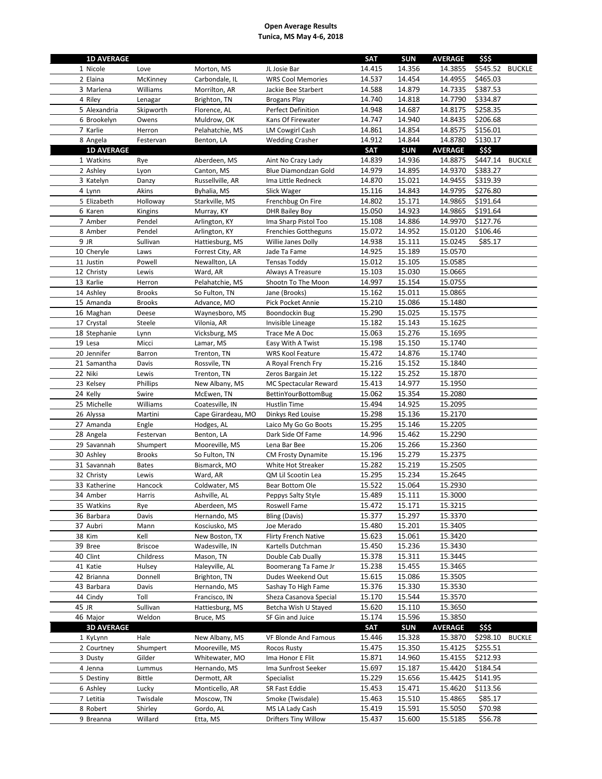| <b>1D AVERAGE</b>             |                             |                                 |                             | <b>SAT</b>       | <b>SUN</b>       | <b>AVERAGE</b>     | \$\$\$   |               |
|-------------------------------|-----------------------------|---------------------------------|-----------------------------|------------------|------------------|--------------------|----------|---------------|
| 1 Nicole                      | Love                        | Morton, MS                      | JL Josie Bar                | 14.415           | 14.356           | 14.3855            | \$545.52 | <b>BUCKLE</b> |
| 2 Elaina                      | McKinney                    | Carbondale, IL                  | <b>WRS Cool Memories</b>    | 14.537           | 14.454           | 14.4955            | \$465.03 |               |
| 3 Marlena                     | Williams                    | Morrilton, AR                   | Jackie Bee Starbert         | 14.588           | 14.879           | 14.7335            | \$387.53 |               |
| 4 Riley                       | Lenagar                     | Brighton, TN                    | <b>Brogans Play</b>         | 14.740           | 14.818           | 14.7790            | \$334.87 |               |
| 5 Alexandria                  | Skipworth                   | Florence, AL                    | Perfect Definition          | 14.948           | 14.687           | 14.8175            | \$258.35 |               |
| 6 Brookelyn                   | Owens                       | Muldrow, OK                     | Kans Of Firewater           | 14.747           | 14.940           | 14.8435            | \$206.68 |               |
| 7 Karlie                      | Herron                      | Pelahatchie, MS                 | <b>LM Cowgirl Cash</b>      | 14.861           | 14.854           | 14.8575            | \$156.01 |               |
| 8 Angela                      | Festervan                   | Benton, LA                      | <b>Wedding Crasher</b>      | 14.912           | 14.844           | 14.8780            | \$130.17 |               |
| <b>1D AVERAGE</b>             |                             |                                 |                             | <b>SAT</b>       | <b>SUN</b>       | <b>AVERAGE</b>     | \$\$\$   |               |
| 1 Watkins                     | Rye                         | Aberdeen, MS                    | Aint No Crazy Lady          | 14.839           | 14.936           | 14.8875            | \$447.14 | <b>BUCKLE</b> |
| 2 Ashley                      | Lyon                        | Canton, MS                      | Blue Diamondzan Gold        | 14.979           | 14.895           | 14.9370            | \$383.27 |               |
| 3 Katelyn                     | Danzy                       | Russellville, AR                | Ima Little Redneck          | 14.870           | 15.021           | 14.9455            | \$319.39 |               |
| 4 Lynn                        | Akins                       | Byhalia, MS                     | Slick Wager                 | 15.116           | 14.843           | 14.9795            | \$276.80 |               |
| 5 Elizabeth                   | Holloway                    | Starkville, MS                  | Frenchbug On Fire           | 14.802           | 15.171           | 14.9865            | \$191.64 |               |
| 6 Karen                       | Kingins                     | Murray, KY                      | <b>DHR Bailey Boy</b>       | 15.050           | 14.923           | 14.9865            | \$191.64 |               |
| 7 Amber                       | Pendel                      | Arlington, KY                   | Ima Sharp Pistol Too        | 15.108           | 14.886           | 14.9970            | \$127.76 |               |
| 8 Amber                       | Pendel                      | Arlington, KY                   | <b>Frenchies Gottheguns</b> | 15.072           | 14.952           | 15.0120            | \$106.46 |               |
| 9 JR                          | Sullivan                    | Hattiesburg, MS                 | Willie Janes Dolly          | 14.938           | 15.111           | 15.0245            | \$85.17  |               |
| 10 Cheryle                    | Laws                        | Forrest City, AR                | Jade Ta Fame                | 14.925           | 15.189           | 15.0570            |          |               |
| 11 Justin                     | Powell                      | Newallton, LA                   | <b>Tensas Toddy</b>         | 15.012           | 15.105           | 15.0585            |          |               |
| 12 Christy                    | Lewis                       | Ward, AR                        | Always A Treasure           | 15.103           | 15.030           | 15.0665            |          |               |
| 13 Karlie                     | Herron                      | Pelahatchie, MS                 | Shootn To The Moon          | 14.997           | 15.154           | 15.0755            |          |               |
| 14 Ashley                     | Brooks                      | So Fulton, TN                   | Jane (Brooks)               | 15.162           | 15.011           | 15.0865            |          |               |
| 15 Amanda                     | <b>Brooks</b>               | Advance, MO                     | Pick Pocket Annie           | 15.210           | 15.086           | 15.1480            |          |               |
| 16 Maghan                     | Deese                       | Waynesboro, MS                  | Boondockin Bug              | 15.290           | 15.025           | 15.1575            |          |               |
| 17 Crystal                    | Steele                      | Vilonia, AR                     | Invisible Lineage           | 15.182           | 15.143           | 15.1625            |          |               |
| 18 Stephanie                  | Lynn                        | Vicksburg, MS                   | Trace Me A Doc              | 15.063           | 15.276           | 15.1695            |          |               |
| 19 Lesa                       | Micci                       | Lamar, MS                       | Easy With A Twist           | 15.198           | 15.150           | 15.1740            |          |               |
| 20 Jennifer                   | <b>Barron</b>               | Trenton, TN                     | <b>WRS Kool Feature</b>     | 15.472           | 14.876           | 15.1740            |          |               |
| 21 Samantha                   | Davis                       | Rossvile, TN                    | A Royal French Fry          | 15.216           | 15.152           | 15.1840            |          |               |
| 22 Niki                       | Lewis                       | Trenton, TN                     | Zeros Bargain Jet           | 15.122           | 15.252           | 15.1870            |          |               |
| 23 Kelsey                     | Phillips                    | New Albany, MS                  | MC Spectacular Reward       | 15.413           | 14.977           | 15.1950            |          |               |
| 24 Kelly                      | Swire                       | McEwen, TN                      | <b>BettinYourBottomBug</b>  | 15.062           | 15.354           | 15.2080            |          |               |
| 25 Michelle                   | Williams                    | Coatesville, IN                 | Hustlin Time                | 15.494           | 14.925           | 15.2095            |          |               |
| 26 Alyssa                     | Martini                     | Cape Girardeau, MO              | Dinkys Red Louise           | 15.298           | 15.136           | 15.2170            |          |               |
| 27 Amanda                     | Engle                       | Hodges, AL                      | Laico My Go Go Boots        | 15.295           | 15.146           | 15.2205            |          |               |
| 28 Angela                     | Festervan                   | Benton, LA                      | Dark Side Of Fame           | 14.996           | 15.462           | 15.2290            |          |               |
| 29 Savannah                   | Shumpert                    | Mooreville, MS                  | Lena Bar Bee                | 15.206           | 15.266           | 15.2360            |          |               |
| 30 Ashley                     | Brooks                      | So Fulton, TN                   | <b>CM Frosty Dynamite</b>   | 15.196           | 15.279           | 15.2375            |          |               |
| 31 Savannah                   | <b>Bates</b>                | Bismarck, MO                    | White Hot Streaker          | 15.282           | 15.219           | 15.2505            |          |               |
| 32 Christy                    | Lewis                       | Ward, AR                        | QM Lil Scootin Lea          | 15.295           | 15.234           | 15.2645            |          |               |
| 33 Katherine                  | Hancock                     | Coldwater, MS                   | Bear Bottom Ole             | 15.522           | 15.064           | 15.2930            |          |               |
| 34 Amber                      | Harris                      | Ashville, AL                    | Peppys Salty Style          | 15.489           | 15.111           | 15.3000            |          |               |
|                               |                             |                                 |                             |                  | 15.171           | 15.3215            |          |               |
| 35 Watkins<br>36 Barbara      | Rye                         | Aberdeen, MS<br>Hernando, MS    | Roswell Fame                | 15.472<br>15.377 |                  | 15.3370            |          |               |
|                               | Davis                       |                                 | Bling (Davis)               |                  | 15.297           |                    |          |               |
| 37 Aubri<br>38 Kim            | Mann<br>Kell                | Kosciusko, MS<br>New Boston, TX | Joe Merado                  | 15.480<br>15.623 | 15.201<br>15.061 | 15.3405<br>15.3420 |          |               |
|                               |                             | Wadesville, IN                  | <b>Flirty French Native</b> |                  | 15.236           | 15.3430            |          |               |
| 39 Bree<br>40 Clint           | <b>Briscoe</b><br>Childress | Mason, TN                       | Kartells Dutchman           | 15.450<br>15.378 | 15.311           | 15.3445            |          |               |
|                               |                             |                                 | Double Cab Dually           |                  | 15.455           |                    |          |               |
| 41 Katie                      | Hulsey                      | Haleyville, AL                  | Boomerang Ta Fame Jr        | 15.238           |                  | 15.3465            |          |               |
| 42 Brianna                    | Donnell                     | Brighton, TN                    | Dudes Weekend Out           | 15.615           | 15.086           | 15.3505            |          |               |
| 43 Barbara                    | Davis                       | Hernando, MS                    | Sashay To High Fame         | 15.376           | 15.330           | 15.3530            |          |               |
| 44 Cindy                      | Toll                        | Francisco, IN                   | Sheza Casanova Special      | 15.170           | 15.544           | 15.3570            |          |               |
| 45 JR                         | Sullivan<br>Weldon          | Hattiesburg, MS                 | Betcha Wish U Stayed        | 15.620           | 15.110           | 15.3650            |          |               |
| 46 Major<br><b>3D AVERAGE</b> |                             | Bruce, MS                       | SF Gin and Juice            | 15.174           | 15.596           | 15.3850            |          |               |
|                               |                             |                                 |                             | SAT              | <b>SUN</b>       | <b>AVERAGE</b>     | \$\$\$   |               |
| 1 KyLynn                      | Hale                        | New Albany, MS                  | VF Blonde And Famous        | 15.446           | 15.328           | 15.3870            | \$298.10 | <b>BUCKLE</b> |
| 2 Courtney                    | Shumpert                    | Mooreville, MS                  | Rocos Rusty                 | 15.475           | 15.350           | 15.4125            | \$255.51 |               |
| 3 Dusty<br>4 Jenna            | Gilder                      | Whitewater, MO                  | Ima Honor E Flit            | 15.871           | 14.960           | 15.4155            | \$212.93 |               |
|                               | Lummus                      | Hernando, MS                    | Ima Sunfrost Seeker         | 15.697<br>15.229 | 15.187<br>15.656 | 15.4420<br>15.4425 | \$184.54 |               |
| 5 Destiny                     | Bittle                      | Dermott, AR                     | Specialist<br>SR Fast Eddie | 15.453           | 15.471           | 15.4620            | \$141.95 |               |
| 6 Ashley                      | Lucky                       | Monticello, AR                  |                             |                  |                  |                    | \$113.56 |               |
| 7 Letitia                     | Twisdale                    | Moscow, TN                      | Smoke (Twisdale)            | 15.463           | 15.510<br>15.591 | 15.4865            | \$85.17  |               |
| 8 Robert                      | Shirley                     | Gordo, AL                       | MS LA Lady Cash             | 15.419           |                  | 15.5050<br>15.5185 | \$70.98  |               |
| 9 Breanna                     | Willard                     | Etta, MS                        | <b>Drifters Tiny Willow</b> | 15.437           | 15.600           |                    | \$56.78  |               |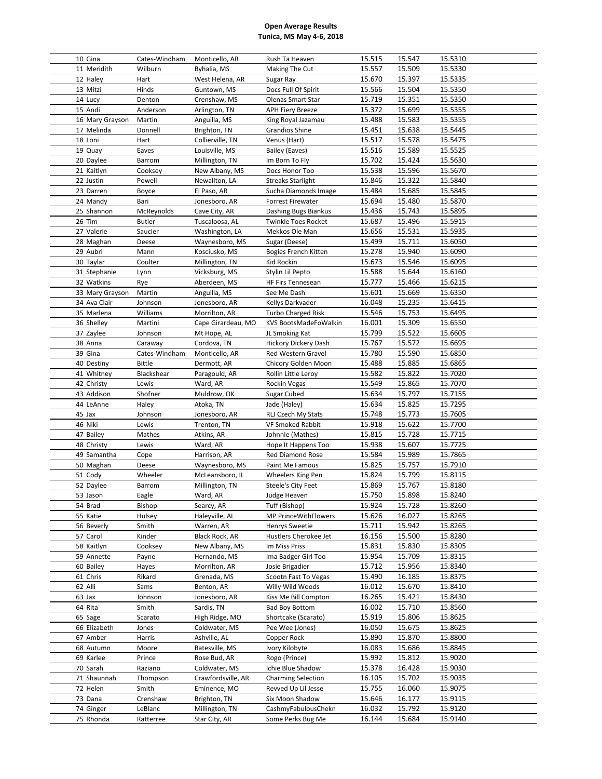| 10 Gina         | Cates-Windham | Monticello, AR     | Rush Ta Heaven            | 15.515 | 15.547 | 15.5310 |
|-----------------|---------------|--------------------|---------------------------|--------|--------|---------|
| 11 Meridith     | Wilburn       | Byhalia, MS        | Making The Cut            | 15.557 | 15.509 | 15.5330 |
| 12 Haley        | Hart          | West Helena, AR    | Sugar Ray                 | 15.670 | 15.397 | 15.5335 |
| 13 Mitzi        | Hinds         | Guntown, MS        | Docs Full Of Spirit       | 15.566 | 15.504 | 15.5350 |
| 14 Lucy         | Denton        | Crenshaw, MS       | Olenas Smart Star         | 15.719 | 15.351 | 15.5350 |
| 15 Andi         | Anderson      | Arlington, TN      | <b>APH Fiery Breeze</b>   | 15.372 | 15.699 | 15.5355 |
| 16 Mary Grayson | Martin        | Anguilla, MS       | King Royal Jazamau        | 15.488 | 15.583 | 15.5355 |
| 17 Melinda      | Donnell       | Brighton, TN       | Grandios Shine            | 15.451 | 15.638 | 15.5445 |
| 18 Loni         | Hart          | Collierville, TN   | Venus (Hart)              | 15.517 | 15.578 | 15.5475 |
| 19 Quay         | Eaves         | Louisville, MS     | Bailey (Eaves)            | 15.516 | 15.589 | 15.5525 |
| 20 Daylee       | <b>Barrom</b> | Millington, TN     | Im Born To Fly            | 15.702 | 15.424 | 15.5630 |
| 21 Kaitlyn      | Cooksey       | New Albany, MS     | Docs Honor Too            | 15.538 | 15.596 | 15.5670 |
| 22 Justin       | Powell        | Newallton, LA      | <b>Streaks Starlight</b>  | 15.846 | 15.322 | 15.5840 |
| 23 Darren       | Boyce         | El Paso, AR        | Sucha Diamonds Image      | 15.484 | 15.685 | 15.5845 |
| 24 Mandy        | Bari          | Jonesboro, AR      | Forrest Firewater         | 15.694 | 15.480 | 15.5870 |
| 25 Shannon      | McReynolds    | Cave City, AR      | Dashing Bugs Biankus      | 15.436 | 15.743 | 15.5895 |
| 26 Tim          | Butler        | Tuscaloosa, AL     | Twinkle Toes Rocket       | 15.687 | 15.496 | 15.5915 |
|                 |               |                    |                           |        |        |         |
| 27 Valerie      | Saucier       | Washington, LA     | Mekkos Ole Man            | 15.656 | 15.531 | 15.5935 |
| 28 Maghan       | Deese         | Waynesboro, MS     | Sugar (Deese)             | 15.499 | 15.711 | 15.6050 |
| 29 Aubri        | Mann          | Kosciusko, MS      | Bogies French Kitten      | 15.278 | 15.940 | 15.6090 |
| 30 Taylar       | Coulter       | Millington, TN     | Kid Rockin                | 15.673 | 15.546 | 15.6095 |
| 31 Stephanie    | Lynn          | Vicksburg, MS      | Stylin Lil Pepto          | 15.588 | 15.644 | 15.6160 |
| 32 Watkins      | Rye           | Aberdeen, MS       | HF Firs Tennesean         | 15.777 | 15.466 | 15.6215 |
| 33 Mary Grayson | Martin        | Anguilla, MS       | See Me Dash               | 15.601 | 15.669 | 15.6350 |
| 34 Ava Clair    | Johnson       | Jonesboro, AR      | Kellys Darkvader          | 16.048 | 15.235 | 15.6415 |
| 35 Marlena      | Williams      | Morrilton, AR      | <b>Turbo Charged Risk</b> | 15.546 | 15.753 | 15.6495 |
| 36 Shelley      | Martini       | Cape Girardeau, MO | KVS BootsMadeFoWalkin     | 16.001 | 15.309 | 15.6550 |
| 37 Zaylee       | Johnson       | Mt Hope, AL        | JL Smoking Kat            | 15.799 | 15.522 | 15.6605 |
| 38 Anna         | Caraway       | Cordova, TN        | Hickory Dickery Dash      | 15.767 | 15.572 | 15.6695 |
| 39 Gina         | Cates-Windham | Monticello, AR     | Red Western Gravel        | 15.780 | 15.590 | 15.6850 |
| 40 Destiny      | <b>Bittle</b> | Dermott, AR        | Chicory Golden Moon       | 15.488 | 15.885 | 15.6865 |
| 41 Whitney      | Blackshear    | Paragould, AR      | Rollin Little Leroy       | 15.582 | 15.822 | 15.7020 |
|                 |               |                    |                           |        |        |         |
| 42 Christy      | Lewis         | Ward, AR           | Rockin Vegas              | 15.549 | 15.865 | 15.7070 |
| 43 Addison      | Shofner       | Muldrow, OK        | Sugar Cubed               | 15.634 | 15.797 | 15.7155 |
| 44 LeAnne       | Haley         | Atoka, TN          | Jade (Haley)              | 15.634 | 15.825 | 15.7295 |
| 45 Jax          | Johnson       | Jonesboro, AR      | RLJ Czech My Stats        | 15.748 | 15.773 | 15.7605 |
| 46 Niki         | Lewis         | Trenton, TN        | VF Smoked Rabbit          | 15.918 | 15.622 | 15.7700 |
| 47 Bailey       | Mathes        | Atkins, AR         | Johnnie (Mathes)          | 15.815 | 15.728 | 15.7715 |
| 48 Christy      | Lewis         | Ward, AR           | Hope It Happens Too       | 15.938 | 15.607 | 15.7725 |
| 49 Samantha     | Cope          | Harrison, AR       | <b>Red Diamond Rose</b>   | 15.584 | 15.989 | 15.7865 |
| 50 Maghan       | Deese         | Waynesboro, MS     | Paint Me Famous           | 15.825 | 15.757 | 15.7910 |
|                 |               |                    |                           | 15.824 |        |         |
| 51 Cody         | Wheeler       | McLeansboro, IL    | Wheelers King Pen         |        | 15.799 | 15.8115 |
| 52 Daylee       | Barrom        | Millington, TN     | Steele's City Feet        | 15.869 | 15.767 | 15.8180 |
| 53 Jason        | Eagle         | Ward, AR           | Judge Heaven              | 15.750 | 15.898 | 15.8240 |
| 54 Brad         | <b>Bishop</b> | Searcy, AR         | Tuff (Bishop)             | 15.924 | 15.728 | 15.8260 |
| 55 Katie        | Hulsey        | Haleyville, AL     | MP PrinceWithFlowers      | 15.626 | 16.027 | 15.8265 |
| 56 Beverly      | Smith         | Warren, AR         | Henrys Sweetie            | 15.711 | 15.942 | 15.8265 |
| 57 Carol        | Kinder        | Black Rock, AR     | Hustlers Cherokee Jet     | 16.156 | 15.500 | 15.8280 |
| 58 Kaitlyn      | Cooksey       | New Albany, MS     | Im Miss Priss             | 15.831 | 15.830 | 15.8305 |
| 59 Annette      | Payne         | Hernando, MS       | Ima Badger Girl Too       | 15.954 | 15.709 | 15.8315 |
| 60 Bailey       | Hayes         | Morrilton, AR      | Josie Brigadier           | 15.712 | 15.956 | 15.8340 |
| 61 Chris        | Rikard        | Grenada, MS        | Scootn Fast To Vegas      | 15.490 | 16.185 | 15.8375 |
| 62 Alli         | Sams          | Benton, AR         | Willy Wild Woods          | 16.012 | 15.670 | 15.8410 |
| 63 Jax          | Johnson       | Jonesboro, AR      | Kiss Me Bill Compton      | 16.265 | 15.421 | 15.8430 |
| 64 Rita         | Smith         | Sardis, TN         | <b>Bad Boy Bottom</b>     | 16.002 | 15.710 | 15.8560 |
| 65 Sage         | Scarato       | High Ridge, MO     | Shortcake (Scarato)       | 15.919 | 15.806 | 15.8625 |
| 66 Elizabeth    | Jones         | Coldwater, MS      | Pee Wee (Jones)           | 16.050 | 15.675 | 15.8625 |
| 67 Amber        | Harris        | Ashville, AL       | Copper Rock               | 15.890 | 15.870 | 15.8800 |
| 68 Autumn       | Moore         | Batesville, MS     | Ivory Kilobyte            | 16.083 | 15.686 | 15.8845 |
| 69 Karlee       | Prince        | Rose Bud, AR       | Rogo (Prince)             | 15.992 | 15.812 | 15.9020 |
| 70 Sarah        | Raziano       | Coldwater, MS      | Ichie Blue Shadow         | 15.378 | 16.428 | 15.9030 |
| 71 Shaunnah     | Thompson      | Crawfordsville, AR | <b>Charming Selection</b> | 16.105 | 15.702 | 15.9035 |
| 72 Helen        | Smith         | Eminence, MO       | Revved Up Lil Jesse       | 15.755 | 16.060 | 15.9075 |
| 73 Dana         | Crenshaw      | Brighton, TN       | Six Moon Shadow           | 15.646 | 16.177 | 15.9115 |
| 74 Ginger       | LeBlanc       | Millington, TN     | CashmyFabulousChekn       | 16.032 | 15.792 | 15.9120 |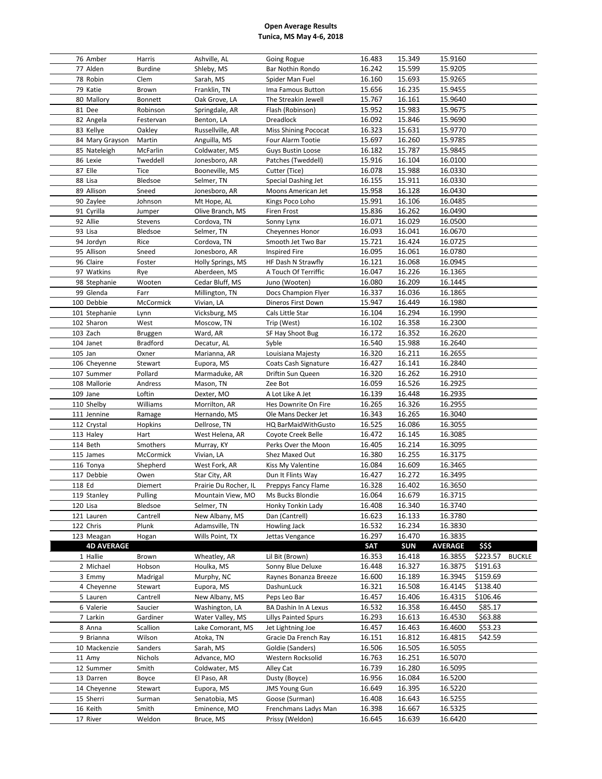| 76 Amber          | Harris           | Ashville, AL                   | Going Rogue                 | 16.483 | 15.349     | 15.9160        |          |               |
|-------------------|------------------|--------------------------------|-----------------------------|--------|------------|----------------|----------|---------------|
| 77 Alden          | <b>Burdine</b>   | Shleby, MS                     | Bar Nothin Rondo            | 16.242 | 15.599     | 15.9205        |          |               |
| 78 Robin          | Clem             | Sarah, MS                      | Spider Man Fuel             | 16.160 | 15.693     | 15.9265        |          |               |
| 79 Katie          | Brown            | Franklin, TN                   | Ima Famous Button           | 15.656 | 16.235     | 15.9455        |          |               |
| 80 Mallory        | Bonnett          | Oak Grove, LA                  | The Streakin Jewell         | 15.767 | 16.161     | 15.9640        |          |               |
| 81 Dee            | Robinson         | Springdale, AR                 | Flash (Robinson)            | 15.952 | 15.983     | 15.9675        |          |               |
| 82 Angela         | Festervan        | Benton, LA                     | Dreadlock                   | 16.092 | 15.846     | 15.9690        |          |               |
| 83 Kellye         | Oakley           | Russellville, AR               | <b>Miss Shining Pococat</b> | 16.323 | 15.631     | 15.9770        |          |               |
|                   |                  |                                |                             |        |            |                |          |               |
| 84 Mary Grayson   | Martin           | Anguilla, MS                   | Four Alarm Tootie           | 15.697 | 16.260     | 15.9785        |          |               |
| 85 Nateleigh      | McFarlin         | Coldwater, MS                  | Guys Bustin Loose           | 16.182 | 15.787     | 15.9845        |          |               |
| 86 Lexie          | Tweddell         | Jonesboro, AR                  | Patches (Tweddell)          | 15.916 | 16.104     | 16.0100        |          |               |
| 87 Elle           | Tice             | Booneville, MS                 | Cutter (Tice)               | 16.078 | 15.988     | 16.0330        |          |               |
| 88 Lisa           | Bledsoe          | Selmer, TN                     | Special Dashing Jet         | 16.155 | 15.911     | 16.0330        |          |               |
| 89 Allison        | Sneed            | Jonesboro, AR                  | Moons American Jet          | 15.958 | 16.128     | 16.0430        |          |               |
| 90 Zaylee         | Johnson          | Mt Hope, AL                    | Kings Poco Loho             | 15.991 | 16.106     | 16.0485        |          |               |
| 91 Cyrilla        | Jumper           | Olive Branch, MS               | <b>Firen Frost</b>          | 15.836 | 16.262     | 16.0490        |          |               |
| 92 Allie          | Stevens          | Cordova, TN                    | Sonny Lynx                  | 16.071 | 16.029     | 16.0500        |          |               |
| 93 Lisa           | Bledsoe          | Selmer, TN                     | Cheyennes Honor             | 16.093 | 16.041     | 16.0670        |          |               |
| 94 Jordyn         | Rice             | Cordova, TN                    | Smooth Jet Two Bar          | 15.721 | 16.424     | 16.0725        |          |               |
| 95 Allison        | Sneed            | Jonesboro, AR                  | <b>Inspired Fire</b>        | 16.095 | 16.061     | 16.0780        |          |               |
| 96 Claire         | Foster           | Holly Springs, MS              | HF Dash N Strawfly          | 16.121 | 16.068     | 16.0945        |          |               |
| 97 Watkins        | Rye              | Aberdeen, MS                   | A Touch Of Terriffic        | 16.047 | 16.226     | 16.1365        |          |               |
| 98 Stephanie      | Wooten           | Cedar Bluff, MS                | Juno (Wooten)               | 16.080 | 16.209     | 16.1445        |          |               |
| 99 Glenda         | Farr             | Millington, TN                 | Docs Champion Flyer         | 16.337 | 16.036     | 16.1865        |          |               |
| 100 Debbie        | McCormick        | Vivian, LA                     | Dineros First Down          | 15.947 | 16.449     | 16.1980        |          |               |
| 101 Stephanie     | Lynn             | Vicksburg, MS                  | Cals Little Star            | 16.104 | 16.294     | 16.1990        |          |               |
| 102 Sharon        | West             | Moscow, TN                     | Trip (West)                 | 16.102 | 16.358     | 16.2300        |          |               |
|                   |                  |                                |                             | 16.172 | 16.352     | 16.2620        |          |               |
| 103 Zach          | Bruggen          | Ward, AR                       | SF Hay Shoot Bug            |        |            |                |          |               |
| 104 Janet         | <b>Bradford</b>  | Decatur, AL                    | Syble                       | 16.540 | 15.988     | 16.2640        |          |               |
| $105$ Jan         | Oxner            | Marianna, AR                   | Louisiana Majesty           | 16.320 | 16.211     | 16.2655        |          |               |
| 106 Cheyenne      | Stewart          | Eupora, MS                     | Coats Cash Signature        | 16.427 | 16.141     | 16.2840        |          |               |
| 107 Summer        | Pollard          | Marmaduke, AR                  | Driftin Sun Queen           | 16.320 | 16.262     | 16.2910        |          |               |
| 108 Mallorie      | Andress          | Mason, TN                      | Zee Bot                     | 16.059 | 16.526     | 16.2925        |          |               |
| 109 Jane          | Loftin           | Dexter, MO                     | A Lot Like A Jet            | 16.139 | 16.448     | 16.2935        |          |               |
|                   |                  |                                |                             |        |            |                |          |               |
| 110 Shelby        | Williams         | Morrilton, AR                  | Hes Downrite On Fire        | 16.265 | 16.326     | 16.2955        |          |               |
| 111 Jennine       | Ramage           | Hernando, MS                   | Ole Mans Decker Jet         | 16.343 | 16.265     | 16.3040        |          |               |
| 112 Crystal       | Hopkins          | Dellrose, TN                   | HQ BarMaidWithGusto         | 16.525 | 16.086     | 16.3055        |          |               |
| 113 Haley         | Hart             | West Helena, AR                | Coyote Creek Belle          | 16.472 | 16.145     | 16.3085        |          |               |
| 114 Beth          | Smothers         | Murray, KY                     | Perks Over the Moon         | 16.405 | 16.214     | 16.3095        |          |               |
| 115 James         | McCormick        | Vivian, LA                     | Shez Maxed Out              | 16.380 | 16.255     | 16.3175        |          |               |
|                   |                  |                                |                             | 16.084 | 16.609     | 16.3465        |          |               |
| 116 Tonya         | Shepherd<br>Owen | West Fork, AR<br>Star City, AR | Kiss My Valentine           | 16.427 |            |                |          |               |
| 117 Debbie        |                  |                                | Dun It Flints Way           |        | 16.272     | 16.3495        |          |               |
| 118 Ed            | Diemert          | Prairie Du Rocher, IL          | Preppys Fancy Flame         | 16.328 | 16.402     | 16.3650        |          |               |
| 119 Stanley       | Pulling          | Mountain View, MO              | Ms Bucks Blondie            | 16.064 | 16.679     | 16.3715        |          |               |
| 120 Lisa          | Bledsoe          | Selmer, TN                     | Honky Tonkin Lady           | 16.408 | 16.340     | 16.3740        |          |               |
| 121 Lauren        | Cantrell         | New Albany, MS                 | Dan (Cantrell)              | 16.623 | 16.133     | 16.3780        |          |               |
| 122 Chris         | Plunk            | Adamsville, TN                 | Howling Jack                | 16.532 | 16.234     | 16.3830        |          |               |
| 123 Meagan        | Hogan            | Wills Point, TX                | Jettas Vengance             | 16.297 | 16.470     | 16.3835        |          |               |
| <b>4D AVERAGE</b> |                  |                                |                             | SAT    | <b>SUN</b> | <b>AVERAGE</b> | \$\$\$   |               |
| 1 Hallie          | Brown            | Wheatley, AR                   | Lil Bit (Brown)             | 16.353 | 16.418     | 16.3855        | \$223.57 | <b>BUCKLE</b> |
| 2 Michael         | Hobson           | Houlka, MS                     | Sonny Blue Deluxe           | 16.448 | 16.327     | 16.3875        | \$191.63 |               |
| 3 Emmy            | Madrigal         | Murphy, NC                     | Raynes Bonanza Breeze       | 16.600 | 16.189     | 16.3945        | \$159.69 |               |
| 4 Cheyenne        | Stewart          | Eupora, MS                     | DashunLuck                  | 16.321 | 16.508     | 16.4145        | \$138.40 |               |
| 5 Lauren          | Cantrell         | New Albany, MS                 | Peps Leo Bar                | 16.457 | 16.406     | 16.4315        | \$106.46 |               |
| 6 Valerie         | Saucier          | Washington, LA                 | BA Dashin In A Lexus        | 16.532 | 16.358     | 16.4450        | \$85.17  |               |
| 7 Larkin          | Gardiner         | Water Valley, MS               | <b>Lillys Painted Spurs</b> | 16.293 | 16.613     | 16.4530        | \$63.88  |               |
| 8 Anna            | Scallion         | Lake Comorant, MS              | Jet Lightning Joe           | 16.457 | 16.463     | 16.4600        | \$53.23  |               |
| 9 Brianna         | Wilson           | Atoka, TN                      | Gracie Da French Ray        | 16.151 | 16.812     | 16.4815        | \$42.59  |               |
| 10 Mackenzie      | Sanders          | Sarah, MS                      | Goldie (Sanders)            | 16.506 | 16.505     | 16.5055        |          |               |
| 11 Amy            | Nichols          | Advance, MO                    | Western Rocksolid           | 16.763 | 16.251     | 16.5070        |          |               |
| 12 Summer         | Smith            | Coldwater, MS                  | Alley Cat                   | 16.739 | 16.280     | 16.5095        |          |               |
| 13 Darren         | Boyce            | El Paso, AR                    | Dusty (Boyce)               | 16.956 | 16.084     | 16.5200        |          |               |
| 14 Cheyenne       | Stewart          | Eupora, MS                     | <b>JMS Young Gun</b>        | 16.649 | 16.395     | 16.5220        |          |               |
| 15 Sherri         | Surman           | Senatobia, MS                  | Goose (Surman)              | 16.408 | 16.643     | 16.5255        |          |               |
| 16 Keith          | Smith            | Eminence, MO                   | Frenchmans Ladys Man        | 16.398 | 16.667     | 16.5325        |          |               |
| 17 River          | Weldon           | Bruce, MS                      | Prissy (Weldon)             | 16.645 | 16.639     | 16.6420        |          |               |